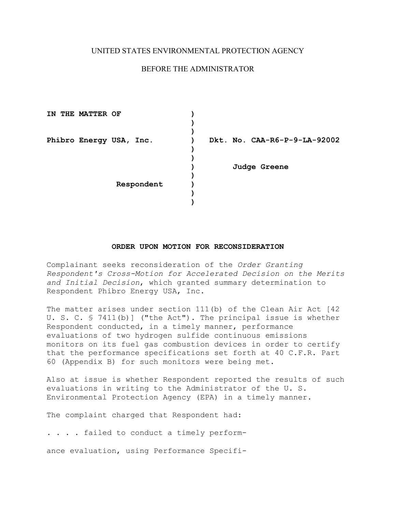## UNITED STATES ENVIRONMENTAL PROTECTION AGENCY

# BEFORE THE ADMINISTRATOR

| ΙN | <b>THE MATTER OF</b> |                         |                              |
|----|----------------------|-------------------------|------------------------------|
|    |                      |                         |                              |
|    |                      |                         |                              |
|    |                      | Phibro Energy USA, Inc. | Dkt. No. CAA-R6-P-9-LA-92002 |
|    |                      |                         |                              |
|    |                      |                         |                              |
|    |                      |                         | Judge Greene                 |
|    |                      |                         |                              |
|    |                      | Respondent              |                              |
|    |                      |                         |                              |
|    |                      |                         |                              |

#### **ORDER UPON MOTION FOR RECONSIDERATION**

Complainant seeks reconsideration of the *Order Granting Respondent's Cross-Motion for Accelerated Decision on the Merits and Initial Decision*, which granted summary determination to Respondent Phibro Energy USA, Inc.

The matter arises under section 111(b) of the Clean Air Act [42 U. S. C. § 7411(b)] ("the Act"). The principal issue is whether Respondent conducted, in a timely manner, performance evaluations of two hydrogen sulfide continuous emissions monitors on its fuel gas combustion devices in order to certify that the performance specifications set forth at 40 C.F.R. Part 60 (Appendix B) for such monitors were being met.

Also at issue is whether Respondent reported the results of such evaluations in writing to the Administrator of the U. S. Environmental Protection Agency (EPA) in a timely manner.

The complaint charged that Respondent had:

. . . . failed to conduct a timely perform-

ance evaluation, using Performance Specifi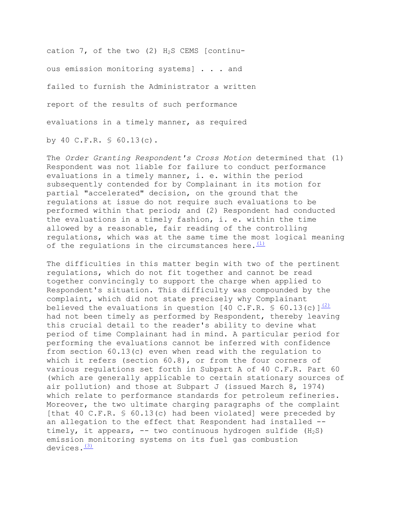cation  $7$ , of the two (2)  $H_2S$  CEMS [continuous emission monitoring systems] . . . and failed to furnish the Administrator a written report of the results of such performance evaluations in a timely manner, as required by 40 C.F.R. § 60.13(c).

of the regulations in the circumstances here. $\frac{(1)}{(1)}$ The *Order Granting Respondent's Cross Motion* determined that (1) Respondent was not liable for failure to conduct performance evaluations in a timely manner, i. e. within the period subsequently contended for by Complainant in its motion for partial "accelerated" decision, on the ground that the regulations at issue do not require such evaluations to be performed within that period; and (2) Respondent had conducted the evaluations in a timely fashion, i. e. within the time allowed by a reasonable, fair reading of the controlling regulations, which was at the same time the most logical meaning

devices. $\frac{(3)}{2}$  $\frac{(3)}{2}$  $\frac{(3)}{2}$ The difficulties in this matter begin with two of the pertinent regulations, which do not fit together and cannot be read together convincingly to support the charge when applied to Respondent's situation. This difficulty was compounded by the complaint, which did not state precisely why Complainant believed the evaluations in question [40 C.F.R. § 60.13(c)] $\frac{(2)}{2}$ had not been timely as performed by Respondent, thereby leaving this crucial detail to the reader's ability to devine what period of time Complainant had in mind. A particular period for performing the evaluations cannot be inferred with confidence from section 60.13(c) even when read with the regulation to which it refers (section 60.8), or from the four corners of various regulations set forth in Subpart A of 40 C.F.R. Part 60 (which are generally applicable to certain stationary sources of air pollution) and those at Subpart J (issued March 8, 1974) which relate to performance standards for petroleum refineries. Moreover, the two ultimate charging paragraphs of the complaint [that 40 C.F.R. § 60.13(c) had been violated] were preceded by an allegation to the effect that Respondent had installed timely, it appears,  $-$ - two continuous hydrogen sulfide (H<sub>2</sub>S) emission monitoring systems on its fuel gas combustion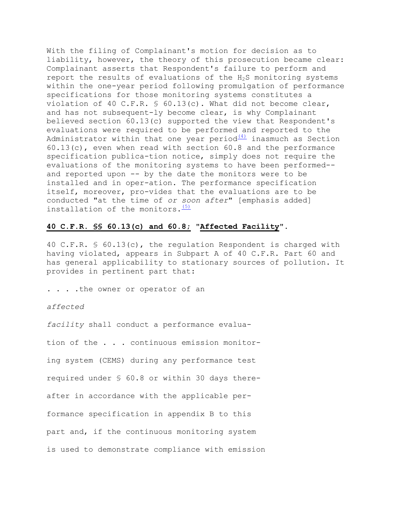installation of the monitors.  $(5)$ With the filing of Complainant's motion for decision as to liability, however, the theory of this prosecution became clear: Complainant asserts that Respondent's failure to perform and report the results of evaluations of the  $H_2S$  monitoring systems within the one-year period following promulgation of performance specifications for those monitoring systems constitutes a violation of 40 C.F.R.  $\frac{1}{5}$  60.13(c). What did not become clear, and has not subsequent-ly become clear, is why Complainant believed section 60.13(c) supported the view that Respondent's evaluations were required to be performed and reported to the Administrator within that one year period $\frac{(4)}{4}$  inasmuch as Section 60.13(c), even when read with section 60.8 and the performance specification publica-tion notice, simply does not require the evaluations of the monitoring systems to have been performed and reported upon -- by the date the monitors were to be installed and in oper-ation. The performance specification itself, moreover, pro-vides that the evaluations are to be conducted "at the time of *or soon after*" [emphasis added]

#### **40 C.F.R. §§ 60.13(c) and 60.8; "Affected Facility"**.

40 C.F.R. § 60.13(c), the regulation Respondent is charged with having violated, appears in Subpart A of 40 C.F.R. Part 60 and has general applicability to stationary sources of pollution. It provides in pertinent part that:

. . . .the owner or operator of an

### *affected*

*facility* shall conduct a performance evalua-

tion of the . . . continuous emission monitor-

ing system (CEMS) during any performance test

required under § 60.8 or within 30 days there-

after in accordance with the applicable per-

formance specification in appendix B to this

part and, if the continuous monitoring system

is used to demonstrate compliance with emission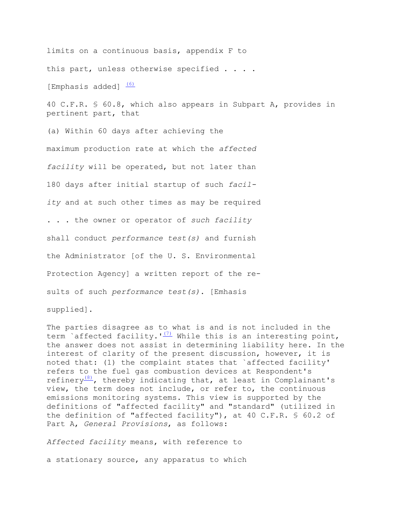[Emphasis added]  $(6)$ limits on a continuous basis, appendix F to this part, unless otherwise specified . . . .

40 C.F.R. § 60.8, which also appears in Subpart A, provides in pertinent part, that

 maximum production rate at which the *affected facility* will be operated, but not later than 180 days after initial startup of such *facil-* . . . the owner or operator of *such facility*  Protection Agency] a written report of the re-(a) Within 60 days after achieving the *ity* and at such other times as may be required shall conduct *performance test(s)* and furnish the Administrator [of the U. S. Environmental sults of such *performance test(s)*. [Emhasis supplied].

The parties disagree as to what is and is not included in the term `affected facility.  $I(T)$  While this is an interesting point, the answer does not assist in determining liability here. In the interest of clarity of the present discussion, however, it is noted that: (1) the complaint states that `affected facility' refers to the fuel gas combustion devices at Respondent's refinery $\frac{(8)}{7}$ , thereby indicating that, at least in Complainant's view, the term does not include, or refer to, the continuous emissions monitoring systems. This view is supported by the definitions of "affected facility" and "standard" (utilized in the definition of "affected facility"), at 40 C.F.R. § 60.2 of Part A, *General Provisions*, as follows:

*Affected facility* means, with reference to

a stationary source, any apparatus to which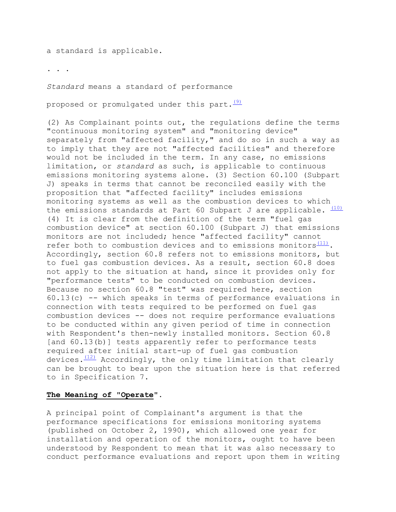a standard is applicable.

. . .

*Standard* means a standard of performance

proposed or promulgated under this part. $\frac{(9)}{2}$ 

(2) As Complainant points out, the regulations define the terms "continuous monitoring system" and "monitoring device" separately from "affected facility," and do so in such a way as to imply that they are not "affected facilities" and therefore would not be included in the term. In any case, no emissions limitation, or *standard* as such, is applicable to continuous emissions monitoring systems alone. (3) Section 60.100 (Subpart J) speaks in terms that cannot be reconciled easily with the proposition that "affected facility" includes emissions monitoring systems as well as the combustion devices to which the emissions standards at Part 60 Subpart J are applicable.  $(10)$ (4) It is clear from the definition of the term "fuel gas combustion device" at section 60.100 (Subpart J) that emissions monitors are not included; hence "affected facility" cannot refer both to combustion devices and to emissions monitors $(11)$ . Accordingly, section 60.8 refers not to emissions monitors, but to fuel gas combustion devices. As a result, section 60.8 does not apply to the situation at hand, since it provides only for "performance tests" to be conducted on combustion devices. Because no section 60.8 "test" was required here, section 60.13(c) -- which speaks in terms of performance evaluations in connection with tests required to be performed on fuel gas combustion devices -- does not require performance evaluations to be conducted within any given period of time in connection with Respondent's then-newly installed monitors. Section 60.8 [and 60.13(b)] tests apparently refer to performance tests required after initial start-up of fuel gas combustion devices. $(12)$  Accordingly, the only time limitation that clearly can be brought to bear upon the situation here is that referred to in Specification 7.

## **The Meaning of "Operate**".

A principal point of Complainant's argument is that the performance specifications for emissions monitoring systems (published on October 2, 1990), which allowed one year for installation and operation of the monitors, ought to have been understood by Respondent to mean that it was also necessary to conduct performance evaluations and report upon them in writing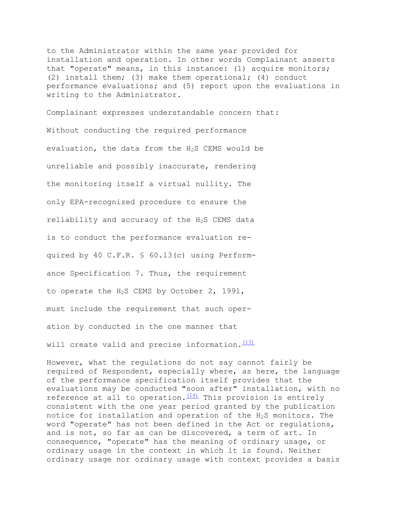to the Administrator within the same year provided for installation and operation. In other words Complainant asserts that "operate" means, in this instance: (1) acquire monitors; (2) install them; (3) make them operational; (4) conduct performance evaluations; and (5) report upon the evaluations in writing to the Administrator.

 is to conduct the performance evaluation re- must include the requirement that such oper- ation by conducted in the one manner that will create valid and precise information. $\frac{(13)}{2}$ Complainant expresses understandable concern that: Without conducting the required performance evaluation, the data from the  $H_2S$  CEMS would be unreliable and possibly inaccurate, rendering the monitoring itself a virtual nullity. The only EPA-recognized procedure to ensure the reliability and accuracy of the H<sub>2</sub>S CEMS data quired by 40 C.F.R. § 60.13(c) using Performance Specification 7. Thus, the requirement to operate the H2S CEMS by October 2, 1991,

However, what the regulations do not say cannot fairly be required of Respondent, especially where, as here, the language of the performance specification itself provides that the evaluations may be conducted "soon after" installation, with no reference at all to operation. $(14)$  This provision is entirely consistent with the one year period granted by the publication notice for installation and operation of the H2S monitors. The word "operate" has not been defined in the Act or regulations, and is not, so far as can be discovered, a term of art. In consequence, "operate" has the meaning of ordinary usage, or ordinary usage in the context in which it is found. Neither ordinary usage nor ordinary usage with context provides a basis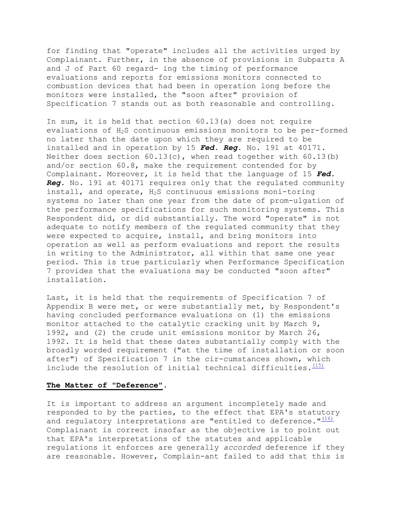for finding that "operate" includes all the activities urged by Complainant. Further, in the absence of provisions in Subparts A and J of Part 60 regard- ing the timing of performance evaluations and reports for emissions monitors connected to combustion devices that had been in operation long before the monitors were installed, the "soon after" provision of Specification 7 stands out as both reasonable and controlling.

In sum, it is held that section 60.13(a) does not require evaluations of H<sub>2</sub>S continuous emissions monitors to be per-formed no later than the date upon which they are required to be installed and in operation by 15 *Fed. Reg*. No. 191 at 40171. Neither does section  $60.13(c)$ , when read together with  $60.13(b)$ and/or section 60.8, make the requirement contended for by Complainant. Moreover, it is held that the language of 15 *Fed. Reg*. No. 191 at 40171 requires only that the regulated community install, and operate, H2S continuous emissions moni-toring systems no later than one year from the date of prom-ulgation of the performance specifications for such monitoring systems. This Respondent did, or did substantially. The word "operate" is not adequate to notify members of the regulated community that they were expected to acquire, install, and bring monitors into operation as well as perform evaluations and report the results in writing to the Administrator, all within that same one year period. This is true particularly when Performance Specification 7 provides that the evaluations may be conducted "soon after" installation.

include the resolution of initial technical difficulties.  $(15)$ Last, it is held that the requirements of Specification 7 of Appendix B were met, or were substantially met, by Respondent's having concluded performance evaluations on (1) the emissions monitor attached to the catalytic cracking unit by March 9, 1992, and (2) the crude unit emissions monitor by March 26, 1992. It is held that these dates substantially comply with the broadly worded requirement ("at the time of installation or soon after") of Specification 7 in the cir-cumstances shown, which

### **The Matter of "Deference"**.

It is important to address an argument incompletely made and responded to by the parties, to the effect that EPA's statutory and regulatory interpretations are "entitled to deference." $(16)$ Complainant is correct insofar as the objective is to point out that EPA's interpretations of the statutes and applicable regulations it enforces are generally *accorded* deference if they are reasonable. However, Complain-ant failed to add that this is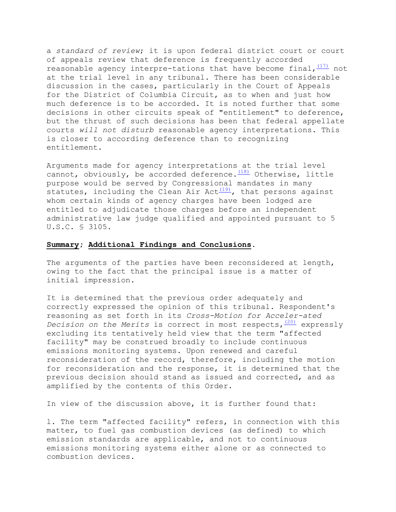a *standard of review*; it is upon federal district court or court of appeals review that deference is frequently accorded reasonable agency interpre-tations that have become final,  $(17)$  not at the trial level in any tribunal. There has been considerable discussion in the cases, particularly in the Court of Appeals for the District of Columbia Circuit, as to when and just how much deference is to be accorded. It is noted further that some decisions in other circuits speak of "entitlement" to deference, but the thrust of such decisions has been that federal appellate courts *will not disturb* reasonable agency interpretations. This is closer to according deference than to recognizing entitlement.

Arguments made for agency interpretations at the trial level cannot, obviously, be accorded deference. $\frac{(18)}{180}$  Otherwise, little purpose would be served by Congressional mandates in many statutes, including the Clean Air Act $(19)$ , that persons against whom certain kinds of agency charges have been lodged are entitled to adjudicate those charges before an independent administrative law judge qualified and appointed pursuant to 5 U.S.C. § 3105.

### **Summary; Additional Findings and Conclusions.**

The arguments of the parties have been reconsidered at length, owing to the fact that the principal issue is a matter of initial impression.

It is determined that the previous order adequately and correctly expressed the opinion of this tribunal. Respondent's reasoning as set forth in its *Cross-Motion for Acceler-ated Decision on the Merits* is correct in most respects,  $(20)$  expressly excluding its tentatively held view that the term "affected facility" may be construed broadly to include continuous emissions monitoring systems. Upon renewed and careful reconsideration of the record, therefore, including the motion for reconsideration and the response, it is determined that the previous decision should stand as issued and corrected, and as amplified by the contents of this Order.

In view of the discussion above, it is further found that:

l. The term "affected facility" refers, in connection with this matter, to fuel gas combustion devices (as defined) to which emission standards are applicable, and not to continuous emissions monitoring systems either alone or as connected to combustion devices.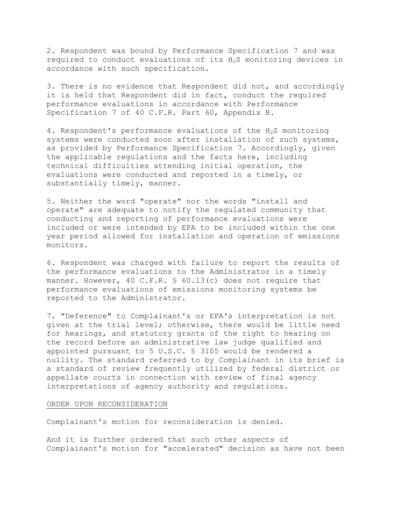2. Respondent was bound by Performance Specification 7 and was required to conduct evaluations of its H2S monitoring devices in accordance with such specification.

3. There is no evidence that Respondent did not, and accordingly it is held that Respondent did in fact, conduct the required performance evaluations in accordance with Performance Specification 7 of 40 C.F.R. Part 60, Appendix B.

4. Respondent's performance evaluations of the H2S monitoring systems were conducted soon after installation of such systems, as provided by Performance Specification 7. Accordingly, given the applicable regulations and the facts here, including technical difficulties attending initial operation, the evaluations were conducted and reported in a timely, or substantially timely, manner.

5. Neither the word "operate" nor the words "install and operate" are adequate to notify the regulated community that conducting and reporting of performance evaluations were included or were intended by EPA to be included within the one year period allowed for installation and operation of emissions monitors.

6. Respondent was charged with failure to report the results of the performance evaluations to the Administrator in a timely manner. However, 40 C.F.R. § 60.13(c) does not require that performance evaluations of emissions monitoring systems be reported to the Administrator.

7. "Deference" to Complainant's or EPA's interpretation is not given at the trial level; otherwise, there would be little need for hearings, and statutory grants of the right to hearing on the record before an administrative law judge qualified and appointed pursuant to 5 U.S.C. § 3105 would be rendered a nullity. The standard referred to by Complainant in its brief is a standard of review frequently utilized by federal district or appellate courts in connection with review of final agency interpretations of agency authority and regulations.

#### ORDER UPON RECONSIDERATION

Complainant's motion for reconsideration is denied.

And it is further ordered that such other aspects of Complainant's motion for "accelerated" decision as have not been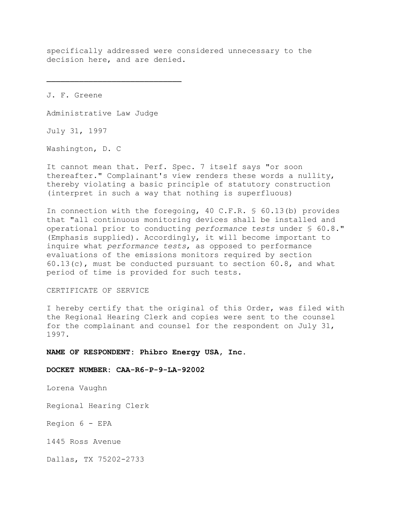specifically addressed were considered unnecessary to the decision here, and are denied.

J. F. Greene

Administrative Law Judge

July 31, 1997

Washington, D. C

It cannot mean that. Perf. Spec. 7 itself says "or soon thereafter." Complainant's view renders these words a nullity, thereby violating a basic principle of statutory construction (interpret in such a way that nothing is superfluous)

In connection with the foregoing, 40 C.F.R. § 60.13(b) provides that "all continuous monitoring devices shall be installed and operational prior to conducting *performance tests* under § 60.8." (Emphasis supplied). Accordingly, it will become important to inquire what *performance tests*, as opposed to performance evaluations of the emissions monitors required by section  $60.13(c)$ , must be conducted pursuant to section  $60.8$ , and what period of time is provided for such tests.

#### CERTIFICATE OF SERVICE

I hereby certify that the original of this Order, was filed with the Regional Hearing Clerk and copies were sent to the counsel for the complainant and counsel for the respondent on July 31, 1997.

#### NAME OF RESPONDENT: Phibro Energy USA, Inc.

### DOCKET NUMBER: CAA-R6-P-9-LA-92002

Lorena Vaughn

Regional Hearing Clerk

Region 6 - EPA

1445 Ross Avenue

Dallas, TX 75202-2733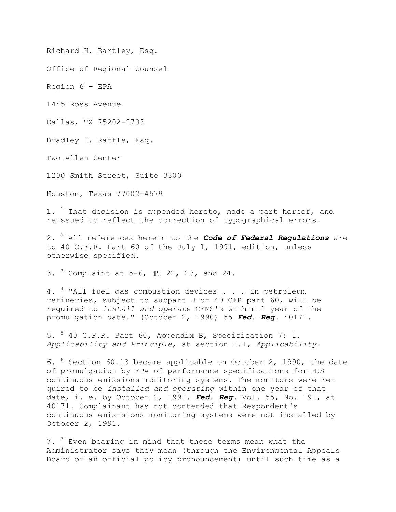Richard H. Bartley, Esq.

Office of Regional Counsel

Region 6 - EPA

1445 Ross Avenue

Dallas, TX 75202-2733

Bradley I. Raffle, Esq.

Two Allen Center

1200 Smith Street, Suite 3300

Houston, Texas 77002-4579

1. <sup>1</sup> That decision is appended hereto, made a part hereof, and reissued to reflect the correction of typographical errors.

2. 2 All references herein to the *Code of Federal Regulations* are to 40 C.F.R. Part 60 of the July l, 1991, edition, unless otherwise specified.

3.  $3 \text{ Complaint at } 5-6$ , II 22, 23, and 24.

4. <sup>4</sup> "All fuel gas combustion devices . . . in petroleum refineries, subject to subpart J of 40 CFR part 60, will be required to *install and operate* CEMS's within l year of the promulgation date." (October 2, 1990) 55 *Fed. Reg*. 40171.

5. 5 40 C.F.R. Part 60, Appendix B, Specification 7: 1. *Applicability and Principle*, at section 1.1, *Applicability*.

6. 6 Section 60.13 became applicable on October 2, 1990, the date of promulgation by EPA of performance specifications for  $H_2S$ continuous emissions monitoring systems. The monitors were required to be *installed and operating* within one year of that date, i. e. by October 2, 1991. *Fed. Reg.* Vol. 55, No. 191, at 40171. Complainant has not contended that Respondent's continuous emis-sions monitoring systems were not installed by October 2, 1991.

7. <sup>7</sup> Even bearing in mind that these terms mean what the Administrator says they mean (through the Environmental Appeals Board or an official policy pronouncement) until such time as a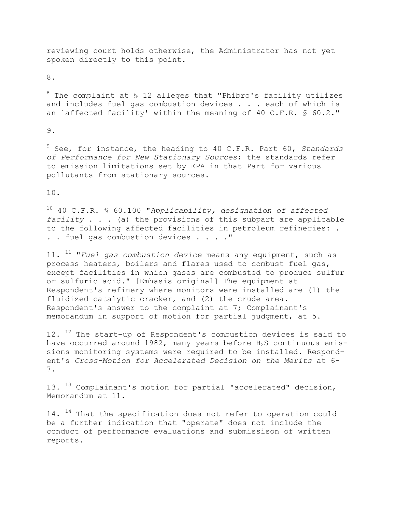reviewing court holds otherwise, the Administrator has not yet spoken directly to this point.

8.

 $8$  The complaint at  $\frac{1}{2}$  2 alleges that "Phibro's facility utilizes and includes fuel gas combustion devices . . . each of which is an `affected facility' within the meaning of 40 C.F.R. § 60.2."

9.

9 See, for instance, the heading to 40 C.F.R. Part 60, *Standards of Performance for New Stationary Sources*; the standards refer to emission limitations set by EPA in that Part for various pollutants from stationary sources.

10.

10 40 C.F.R. § 60.100 "*Applicability, designation of affected facility* . . . (a) the provisions of this subpart are applicable to the following affected facilities in petroleum refineries: . . . fuel gas combustion devices . . . ."

11. 11 "*Fuel gas combustion device* means any equipment, such as process heaters, boilers and flares used to combust fuel gas, except facilities in which gases are combusted to produce sulfur or sulfuric acid." [Emhasis original] The equipment at Respondent's refinery where monitors were installed are (1) the fluidized catalytic cracker, and (2) the crude area. Respondent's answer to the complaint at 7; Complainant's memorandum in support of motion for partial judgment, at 5.

12. <sup>12</sup> The start-up of Respondent's combustion devices is said to have occurred around  $1982$ , many years before  $H_2S$  continuous emissions monitoring systems were required to be installed. Respondent's *Cross-Motion for Accelerated Decision on the Merits* at 6 7.

13. <sup>13</sup> Complainant's motion for partial "accelerated" decision, Memorandum at 11.

 $14.$  <sup>14</sup> That the specification does not refer to operation could be a further indication that "operate" does not include the conduct of performance evaluations and submissison of written reports.